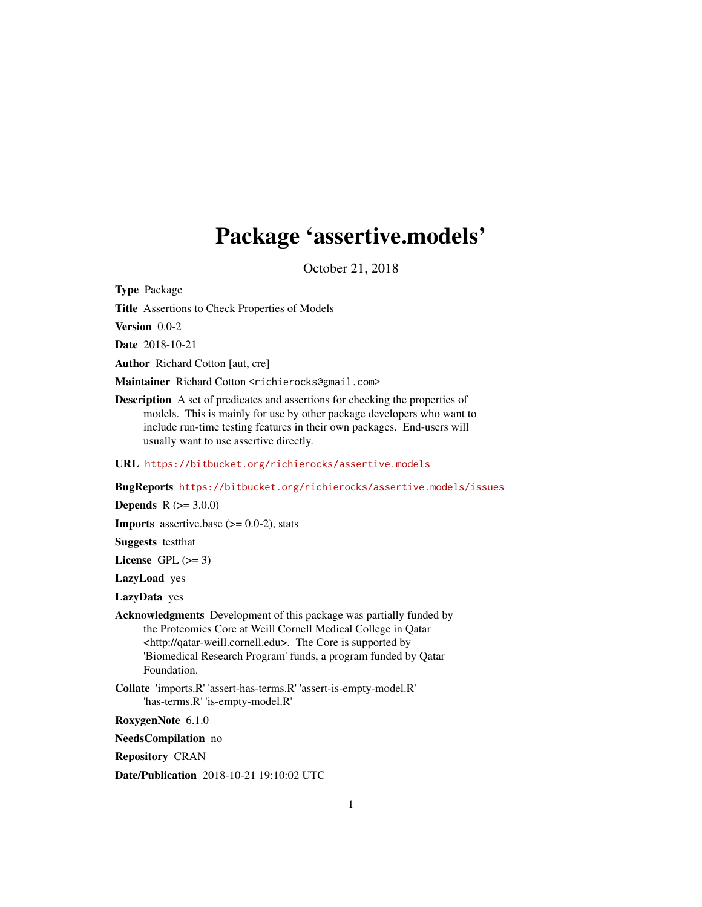## Package 'assertive.models'

October 21, 2018

<span id="page-0-0"></span>Type Package

Title Assertions to Check Properties of Models

Version 0.0-2

Date 2018-10-21

Author Richard Cotton [aut, cre]

Maintainer Richard Cotton <richierocks@gmail.com>

Description A set of predicates and assertions for checking the properties of models. This is mainly for use by other package developers who want to include run-time testing features in their own packages. End-users will usually want to use assertive directly.

URL <https://bitbucket.org/richierocks/assertive.models>

BugReports <https://bitbucket.org/richierocks/assertive.models/issues>

**Depends**  $R (= 3.0.0)$ 

**Imports** assertive.base  $(>= 0.0-2)$ , stats

Suggests testthat

License GPL  $(>= 3)$ 

LazyLoad yes

LazyData yes

Acknowledgments Development of this package was partially funded by the Proteomics Core at Weill Cornell Medical College in Qatar <http://qatar-weill.cornell.edu>. The Core is supported by 'Biomedical Research Program' funds, a program funded by Qatar Foundation.

Collate 'imports.R' 'assert-has-terms.R' 'assert-is-empty-model.R' 'has-terms.R' 'is-empty-model.R'

RoxygenNote 6.1.0

NeedsCompilation no

Repository CRAN

Date/Publication 2018-10-21 19:10:02 UTC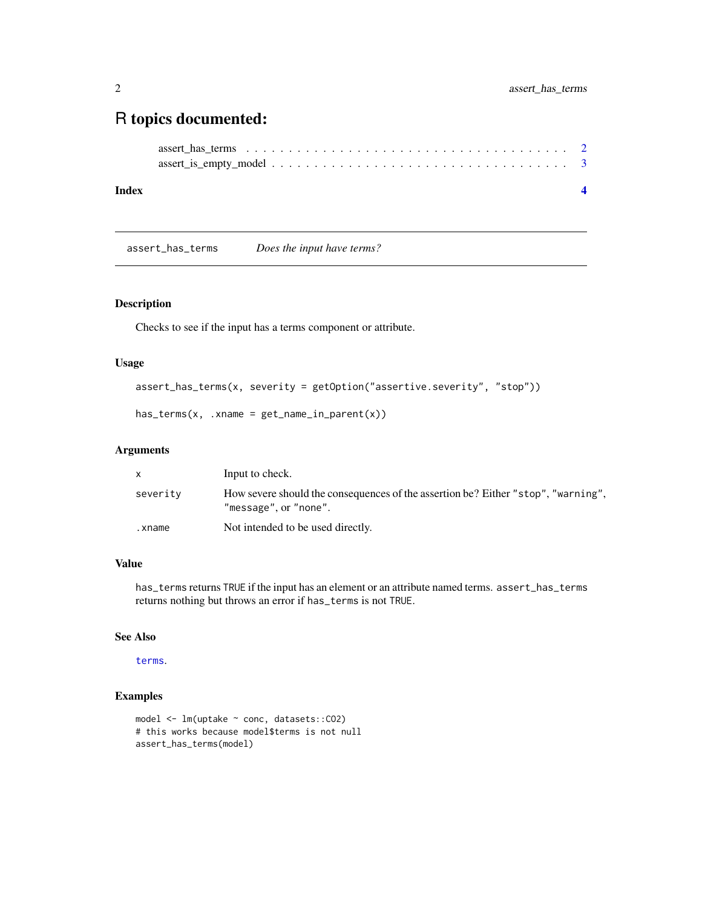### <span id="page-1-0"></span>R topics documented:

```
assert_has_terms . . . . . . . . . . . . . . . . . . . . . . . . . . . . . . . . . . . . . . 2
assert_is_empty_model . . . . . . . . . . . . . . . . . . . . . . . . . . . . . . . . . . . 3
```
#### **Index** [4](#page-3-0)

assert\_has\_terms *Does the input have terms?*

#### Description

Checks to see if the input has a terms component or attribute.

#### Usage

```
assert_has_terms(x, severity = getOption("assertive.severity", "stop"))
```

```
has\_terms(x, .xname = get_name_in\_parent(x))
```
#### Arguments

| X.       | Input to check.                                                                                            |
|----------|------------------------------------------------------------------------------------------------------------|
| severity | How severe should the consequences of the assertion be? Either "stop", "warning",<br>"message", or "none". |
| .xname   | Not intended to be used directly.                                                                          |

#### Value

has\_terms returns TRUE if the input has an element or an attribute named terms. assert\_has\_terms returns nothing but throws an error if has\_terms is not TRUE.

#### See Also

[terms](#page-0-0).

#### Examples

```
model <- lm(uptake ~ conc, datasets::CO2)
# this works because model$terms is not null
assert_has_terms(model)
```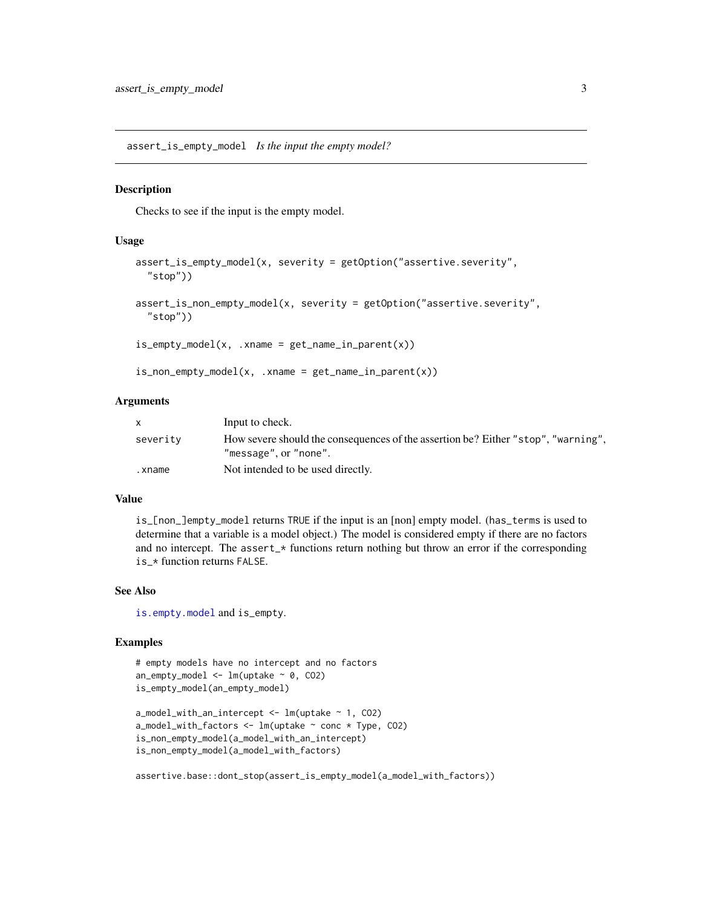<span id="page-2-0"></span>assert\_is\_empty\_model *Is the input the empty model?*

#### Description

Checks to see if the input is the empty model.

#### Usage

```
assert_is_empty_model(x, severity = getOption("assertive.severity",
  "stop"))
assert_is_non_empty_model(x, severity = getOption("assertive.severity",
  "stop"))
is\_empty\_model(x, .xname = get\_name_in\_parent(x))is_non_empty_model(x, .xname = get_name_in_parent(x))
```
#### Arguments

|          | Input to check.                                                                                            |
|----------|------------------------------------------------------------------------------------------------------------|
| severity | How severe should the consequences of the assertion be? Either "stop", "warning",<br>"message", or "none". |
| .xname   | Not intended to be used directly.                                                                          |

#### Value

is\_[non\_]empty\_model returns TRUE if the input is an [non] empty model. (has\_terms is used to determine that a variable is a model object.) The model is considered empty if there are no factors and no intercept. The assert\_\* functions return nothing but throw an error if the corresponding is\_\* function returns FALSE.

#### See Also

[is.empty.model](#page-0-0) and is\_empty.

#### Examples

```
# empty models have no intercept and no factors
an\_empty\_model \leq Im(uptake \sim 0, CO2)is_empty_model(an_empty_model)
```

```
a_model_with_an_intercept <- lm(uptake ~ 1, CO2)
a_model_with_factors <- lm(uptake ~ conc * Type, CO2)
is_non_empty_model(a_model_with_an_intercept)
is_non_empty_model(a_model_with_factors)
```

```
assertive.base::dont_stop(assert_is_empty_model(a_model_with_factors))
```